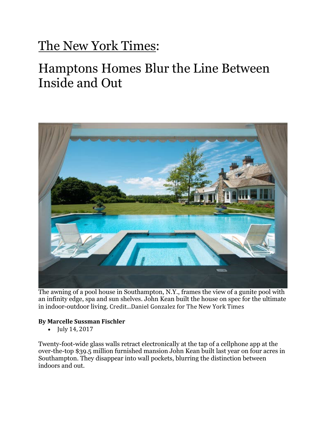## The New York Times:

## Hamptons Homes Blur the Line Between Inside and Out



The awning of a pool house in Southampton, N.Y., frames the view of a gunite pool with an infinity edge, spa and sun shelves. John Kean built the house on spec for the ultimate in indoor-outdoor living. Credit...Daniel Gonzalez for The New York Times

## **By Marcelle Sussman Fischler**

• July 14, 2017

Twenty-foot-wide glass walls retract electronically at the tap of a cellphone app at the over-the-top \$39.5 million furnished mansion John Kean built last year on four acres in Southampton. They disappear into wall pockets, blurring the distinction between indoors and out.